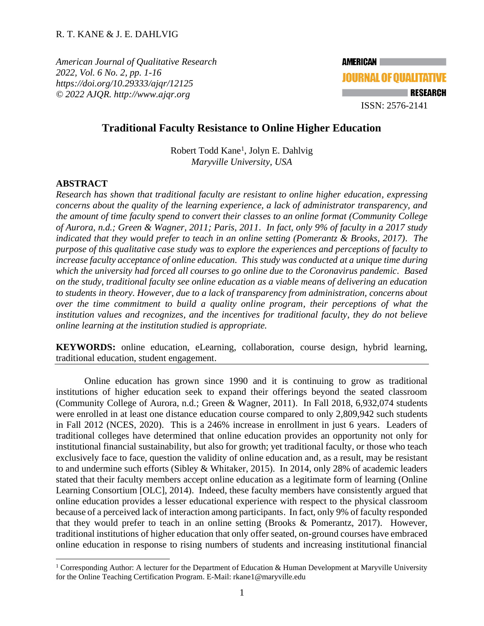*American Journal of Qualitative Research 2022, Vol. 6 No. 2, pp. 1-16 <https://doi.org/10.29333/ajqr/12125> © 2022 AJQR. http://www.ajqr.org*



# **Traditional Faculty Resistance to Online Higher Education**

Robert Todd Kane<sup>1</sup>, Jolyn E. Dahlvig *Maryville University, USA*

### **ABSTRACT**

*Research has shown that traditional faculty are resistant to online higher education, expressing concerns about the quality of the learning experience, a lack of administrator transparency, and the amount of time faculty spend to convert their classes to an online format (Community College of Aurora, n.d.; Green & Wagner, 2011; Paris, 2011. In fact, only 9% of faculty in a 2017 study indicated that they would prefer to teach in an online setting (Pomerantz & Brooks, 2017). The purpose of this qualitative case study was to explore the experiences and perceptions of faculty to increase faculty acceptance of online education. This study was conducted at a unique time during which the university had forced all courses to go online due to the Coronavirus pandemic. Based on the study, traditional faculty see online education as a viable means of delivering an education to students in theory. However, due to a lack of transparency from administration, concerns about over the time commitment to build a quality online program, their perceptions of what the institution values and recognizes, and the incentives for traditional faculty, they do not believe online learning at the institution studied is appropriate.*

**KEYWORDS:** online education, eLearning, collaboration, course design, hybrid learning, traditional education, student engagement.

Online education has grown since 1990 and it is continuing to grow as traditional institutions of higher education seek to expand their offerings beyond the seated classroom (Community College of Aurora, n.d.; Green & Wagner, 2011). In Fall 2018, 6,932,074 students were enrolled in at least one distance education course compared to only 2,809,942 such students in Fall 2012 (NCES, 2020). This is a 246% increase in enrollment in just 6 years. Leaders of traditional colleges have determined that online education provides an opportunity not only for institutional financial sustainability, but also for growth; yet traditional faculty, or those who teach exclusively face to face, question the validity of online education and, as a result, may be resistant to and undermine such efforts (Sibley & Whitaker, 2015). In 2014, only 28% of academic leaders stated that their faculty members accept online education as a legitimate form of learning (Online Learning Consortium [OLC], 2014). Indeed, these faculty members have consistently argued that online education provides a lesser educational experience with respect to the physical classroom because of a perceived lack of interaction among participants. In fact, only 9% of faculty responded that they would prefer to teach in an online setting (Brooks & Pomerantz, 2017). However, traditional institutions of higher education that only offer seated, on-ground courses have embraced online education in response to rising numbers of students and increasing institutional financial

<sup>&</sup>lt;sup>1</sup> Corresponding Author: A lecturer for the Department of Education & Human Development at Maryville University for the Online Teaching Certification Program. E-Mail: [rkane1@maryville.edu](mailto:rkane1@maryville.edu)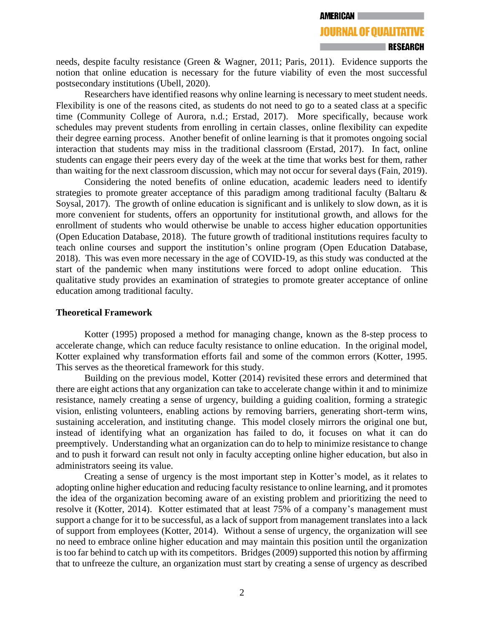needs, despite faculty resistance (Green & Wagner, 2011; Paris, 2011). Evidence supports the notion that online education is necessary for the future viability of even the most successful postsecondary institutions (Ubell, 2020).

Researchers have identified reasons why online learning is necessary to meet student needs. Flexibility is one of the reasons cited, as students do not need to go to a seated class at a specific time (Community College of Aurora, n.d.; Erstad, 2017). More specifically, because work schedules may prevent students from enrolling in certain classes, online flexibility can expedite their degree earning process. Another benefit of online learning is that it promotes ongoing social interaction that students may miss in the traditional classroom (Erstad, 2017). In fact, online students can engage their peers every day of the week at the time that works best for them, rather than waiting for the next classroom discussion, which may not occur for several days (Fain, 2019).

Considering the noted benefits of online education, academic leaders need to identify strategies to promote greater acceptance of this paradigm among traditional faculty (Baltaru & Soysal, 2017). The growth of online education is significant and is unlikely to slow down, as it is more convenient for students, offers an opportunity for institutional growth, and allows for the enrollment of students who would otherwise be unable to access higher education opportunities (Open Education Database, 2018). The future growth of traditional institutions requires faculty to teach online courses and support the institution's online program (Open Education Database, 2018). This was even more necessary in the age of COVID-19, as this study was conducted at the start of the pandemic when many institutions were forced to adopt online education. This qualitative study provides an examination of strategies to promote greater acceptance of online education among traditional faculty.

## **Theoretical Framework**

Kotter (1995) proposed a method for managing change, known as the 8-step process to accelerate change, which can reduce faculty resistance to online education. In the original model, Kotter explained why transformation efforts fail and some of the common errors (Kotter, 1995. This serves as the theoretical framework for this study.

Building on the previous model, Kotter (2014) revisited these errors and determined that there are eight actions that any organization can take to accelerate change within it and to minimize resistance, namely creating a sense of urgency, building a guiding coalition, forming a strategic vision, enlisting volunteers, enabling actions by removing barriers, generating short-term wins, sustaining acceleration, and instituting change. This model closely mirrors the original one but, instead of identifying what an organization has failed to do, it focuses on what it can do preemptively. Understanding what an organization can do to help to minimize resistance to change and to push it forward can result not only in faculty accepting online higher education, but also in administrators seeing its value.

Creating a sense of urgency is the most important step in Kotter's model, as it relates to adopting online higher education and reducing faculty resistance to online learning, and it promotes the idea of the organization becoming aware of an existing problem and prioritizing the need to resolve it (Kotter, 2014). Kotter estimated that at least 75% of a company's management must support a change for it to be successful, as a lack of support from management translates into a lack of support from employees (Kotter, 2014). Without a sense of urgency, the organization will see no need to embrace online higher education and may maintain this position until the organization is too far behind to catch up with its competitors. Bridges (2009) supported this notion by affirming that to unfreeze the culture, an organization must start by creating a sense of urgency as described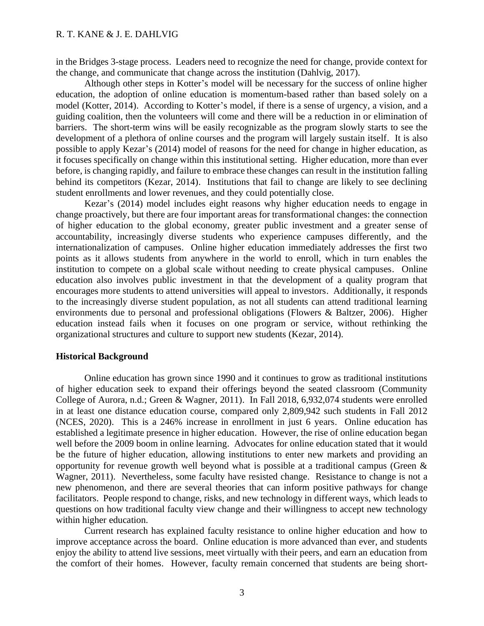in the Bridges 3-stage process. Leaders need to recognize the need for change, provide context for the change, and communicate that change across the institution (Dahlvig, 2017).

Although other steps in Kotter's model will be necessary for the success of online higher education, the adoption of online education is momentum-based rather than based solely on a model (Kotter, 2014). According to Kotter's model, if there is a sense of urgency, a vision, and a guiding coalition, then the volunteers will come and there will be a reduction in or elimination of barriers. The short-term wins will be easily recognizable as the program slowly starts to see the development of a plethora of online courses and the program will largely sustain itself. It is also possible to apply Kezar's (2014) model of reasons for the need for change in higher education, as it focuses specifically on change within this institutional setting. Higher education, more than ever before, is changing rapidly, and failure to embrace these changes can result in the institution falling behind its competitors (Kezar, 2014). Institutions that fail to change are likely to see declining student enrollments and lower revenues, and they could potentially close.

Kezar's (2014) model includes eight reasons why higher education needs to engage in change proactively, but there are four important areas for transformational changes: the connection of higher education to the global economy, greater public investment and a greater sense of accountability, increasingly diverse students who experience campuses differently, and the internationalization of campuses. Online higher education immediately addresses the first two points as it allows students from anywhere in the world to enroll, which in turn enables the institution to compete on a global scale without needing to create physical campuses. Online education also involves public investment in that the development of a quality program that encourages more students to attend universities will appeal to investors. Additionally, it responds to the increasingly diverse student population, as not all students can attend traditional learning environments due to personal and professional obligations (Flowers & Baltzer, 2006). Higher education instead fails when it focuses on one program or service, without rethinking the organizational structures and culture to support new students (Kezar, 2014).

#### **Historical Background**

Online education has grown since 1990 and it continues to grow as traditional institutions of higher education seek to expand their offerings beyond the seated classroom (Community College of Aurora, n.d.; Green & Wagner, 2011). In Fall 2018, 6,932,074 students were enrolled in at least one distance education course, compared only 2,809,942 such students in Fall 2012 (NCES, 2020). This is a 246% increase in enrollment in just 6 years. Online education has established a legitimate presence in higher education. However, the rise of online education began well before the 2009 boom in online learning. Advocates for online education stated that it would be the future of higher education, allowing institutions to enter new markets and providing an opportunity for revenue growth well beyond what is possible at a traditional campus (Green & Wagner, 2011). Nevertheless, some faculty have resisted change. Resistance to change is not a new phenomenon, and there are several theories that can inform positive pathways for change facilitators. People respond to change, risks, and new technology in different ways, which leads to questions on how traditional faculty view change and their willingness to accept new technology within higher education.

Current research has explained faculty resistance to online higher education and how to improve acceptance across the board. Online education is more advanced than ever, and students enjoy the ability to attend live sessions, meet virtually with their peers, and earn an education from the comfort of their homes. However, faculty remain concerned that students are being short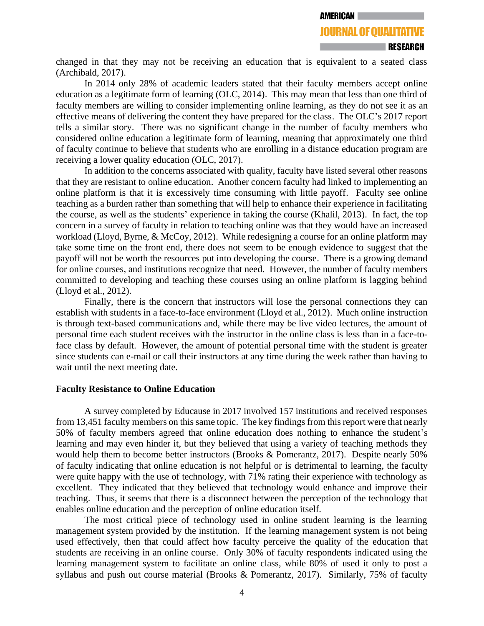changed in that they may not be receiving an education that is equivalent to a seated class (Archibald, 2017).

In 2014 only 28% of academic leaders stated that their faculty members accept online education as a legitimate form of learning (OLC, 2014). This may mean that less than one third of faculty members are willing to consider implementing online learning, as they do not see it as an effective means of delivering the content they have prepared for the class. The OLC's 2017 report tells a similar story. There was no significant change in the number of faculty members who considered online education a legitimate form of learning, meaning that approximately one third of faculty continue to believe that students who are enrolling in a distance education program are receiving a lower quality education (OLC, 2017).

In addition to the concerns associated with quality, faculty have listed several other reasons that they are resistant to online education. Another concern faculty had linked to implementing an online platform is that it is excessively time consuming with little payoff. Faculty see online teaching as a burden rather than something that will help to enhance their experience in facilitating the course, as well as the students' experience in taking the course (Khalil, 2013). In fact, the top concern in a survey of faculty in relation to teaching online was that they would have an increased workload (Lloyd, Byrne, & McCoy, 2012). While redesigning a course for an online platform may take some time on the front end, there does not seem to be enough evidence to suggest that the payoff will not be worth the resources put into developing the course. There is a growing demand for online courses, and institutions recognize that need. However, the number of faculty members committed to developing and teaching these courses using an online platform is lagging behind (Lloyd et al., 2012).

Finally, there is the concern that instructors will lose the personal connections they can establish with students in a face-to-face environment (Lloyd et al., 2012). Much online instruction is through text-based communications and, while there may be live video lectures, the amount of personal time each student receives with the instructor in the online class is less than in a face-toface class by default. However, the amount of potential personal time with the student is greater since students can e-mail or call their instructors at any time during the week rather than having to wait until the next meeting date.

# **Faculty Resistance to Online Education**

A survey completed by Educause in 2017 involved 157 institutions and received responses from 13,451 faculty members on this same topic. The key findings from this report were that nearly 50% of faculty members agreed that online education does nothing to enhance the student's learning and may even hinder it, but they believed that using a variety of teaching methods they would help them to become better instructors (Brooks & Pomerantz, 2017). Despite nearly 50% of faculty indicating that online education is not helpful or is detrimental to learning, the faculty were quite happy with the use of technology, with 71% rating their experience with technology as excellent. They indicated that they believed that technology would enhance and improve their teaching. Thus, it seems that there is a disconnect between the perception of the technology that enables online education and the perception of online education itself.

The most critical piece of technology used in online student learning is the learning management system provided by the institution. If the learning management system is not being used effectively, then that could affect how faculty perceive the quality of the education that students are receiving in an online course. Only 30% of faculty respondents indicated using the learning management system to facilitate an online class, while 80% of used it only to post a syllabus and push out course material (Brooks & Pomerantz, 2017). Similarly, 75% of faculty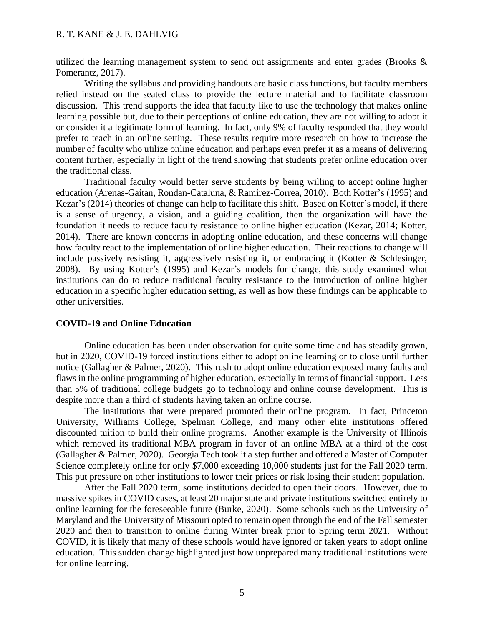utilized the learning management system to send out assignments and enter grades (Brooks & Pomerantz, 2017).

Writing the syllabus and providing handouts are basic class functions, but faculty members relied instead on the seated class to provide the lecture material and to facilitate classroom discussion. This trend supports the idea that faculty like to use the technology that makes online learning possible but, due to their perceptions of online education, they are not willing to adopt it or consider it a legitimate form of learning. In fact, only 9% of faculty responded that they would prefer to teach in an online setting. These results require more research on how to increase the number of faculty who utilize online education and perhaps even prefer it as a means of delivering content further, especially in light of the trend showing that students prefer online education over the traditional class.

Traditional faculty would better serve students by being willing to accept online higher education (Arenas-Gaitan, Rondan-Cataluna, & Ramirez-Correa, 2010). Both Kotter's (1995) and Kezar's (2014) theories of change can help to facilitate this shift. Based on Kotter's model, if there is a sense of urgency, a vision, and a guiding coalition, then the organization will have the foundation it needs to reduce faculty resistance to online higher education (Kezar, 2014; Kotter, 2014). There are known concerns in adopting online education, and these concerns will change how faculty react to the implementation of online higher education. Their reactions to change will include passively resisting it, aggressively resisting it, or embracing it (Kotter & Schlesinger, 2008). By using Kotter's (1995) and Kezar's models for change, this study examined what institutions can do to reduce traditional faculty resistance to the introduction of online higher education in a specific higher education setting, as well as how these findings can be applicable to other universities.

#### **COVID-19 and Online Education**

Online education has been under observation for quite some time and has steadily grown, but in 2020, COVID-19 forced institutions either to adopt online learning or to close until further notice (Gallagher & Palmer, 2020). This rush to adopt online education exposed many faults and flaws in the online programming of higher education, especially in terms of financial support. Less than 5% of traditional college budgets go to technology and online course development. This is despite more than a third of students having taken an online course.

The institutions that were prepared promoted their online program. In fact, Princeton University, Williams College, Spelman College, and many other elite institutions offered discounted tuition to build their online programs. Another example is the University of Illinois which removed its traditional MBA program in favor of an online MBA at a third of the cost (Gallagher & Palmer, 2020). Georgia Tech took it a step further and offered a Master of Computer Science completely online for only \$7,000 exceeding 10,000 students just for the Fall 2020 term. This put pressure on other institutions to lower their prices or risk losing their student population.

After the Fall 2020 term, some institutions decided to open their doors. However, due to massive spikes in COVID cases, at least 20 major state and private institutions switched entirely to online learning for the foreseeable future (Burke, 2020). Some schools such as the University of Maryland and the University of Missouri opted to remain open through the end of the Fall semester 2020 and then to transition to online during Winter break prior to Spring term 2021. Without COVID, it is likely that many of these schools would have ignored or taken years to adopt online education. This sudden change highlighted just how unprepared many traditional institutions were for online learning.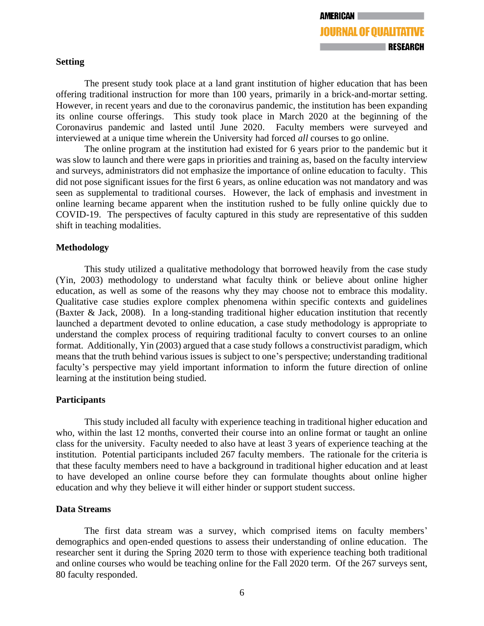## **Setting**

The present study took place at a land grant institution of higher education that has been offering traditional instruction for more than 100 years, primarily in a brick-and-mortar setting. However, in recent years and due to the coronavirus pandemic, the institution has been expanding its online course offerings. This study took place in March 2020 at the beginning of the Coronavirus pandemic and lasted until June 2020. Faculty members were surveyed and interviewed at a unique time wherein the University had forced *all* courses to go online.

The online program at the institution had existed for 6 years prior to the pandemic but it was slow to launch and there were gaps in priorities and training as, based on the faculty interview and surveys, administrators did not emphasize the importance of online education to faculty. This did not pose significant issues for the first 6 years, as online education was not mandatory and was seen as supplemental to traditional courses. However, the lack of emphasis and investment in online learning became apparent when the institution rushed to be fully online quickly due to COVID-19. The perspectives of faculty captured in this study are representative of this sudden shift in teaching modalities.

## **Methodology**

This study utilized a qualitative methodology that borrowed heavily from the case study (Yin, 2003) methodology to understand what faculty think or believe about online higher education, as well as some of the reasons why they may choose not to embrace this modality. Qualitative case studies explore complex phenomena within specific contexts and guidelines (Baxter & Jack, 2008). In a long-standing traditional higher education institution that recently launched a department devoted to online education, a case study methodology is appropriate to understand the complex process of requiring traditional faculty to convert courses to an online format. Additionally, Yin (2003) argued that a case study follows a constructivist paradigm, which means that the truth behind various issues is subject to one's perspective; understanding traditional faculty's perspective may yield important information to inform the future direction of online learning at the institution being studied.

# **Participants**

This study included all faculty with experience teaching in traditional higher education and who, within the last 12 months, converted their course into an online format or taught an online class for the university. Faculty needed to also have at least 3 years of experience teaching at the institution. Potential participants included 267 faculty members. The rationale for the criteria is that these faculty members need to have a background in traditional higher education and at least to have developed an online course before they can formulate thoughts about online higher education and why they believe it will either hinder or support student success.

### **Data Streams**

The first data stream was a survey, which comprised items on faculty members' demographics and open-ended questions to assess their understanding of online education. The researcher sent it during the Spring 2020 term to those with experience teaching both traditional and online courses who would be teaching online for the Fall 2020 term. Of the 267 surveys sent, 80 faculty responded.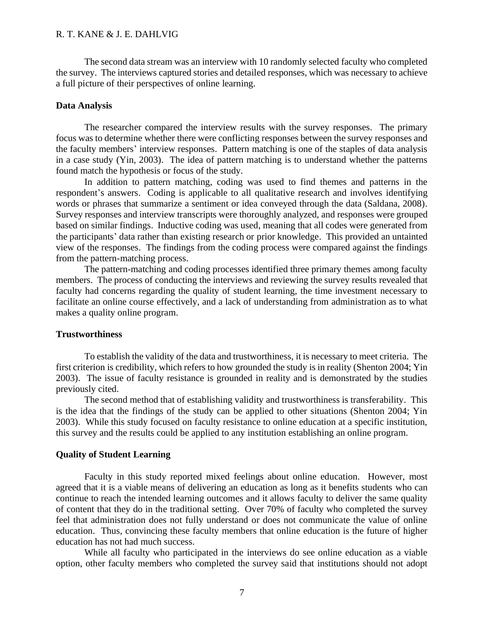The second data stream was an interview with 10 randomly selected faculty who completed the survey. The interviews captured stories and detailed responses, which was necessary to achieve a full picture of their perspectives of online learning.

#### **Data Analysis**

The researcher compared the interview results with the survey responses. The primary focus was to determine whether there were conflicting responses between the survey responses and the faculty members' interview responses. Pattern matching is one of the staples of data analysis in a case study (Yin, 2003). The idea of pattern matching is to understand whether the patterns found match the hypothesis or focus of the study.

In addition to pattern matching, coding was used to find themes and patterns in the respondent's answers. Coding is applicable to all qualitative research and involves identifying words or phrases that summarize a sentiment or idea conveyed through the data (Saldana, 2008). Survey responses and interview transcripts were thoroughly analyzed, and responses were grouped based on similar findings. Inductive coding was used, meaning that all codes were generated from the participants' data rather than existing research or prior knowledge. This provided an untainted view of the responses. The findings from the coding process were compared against the findings from the pattern-matching process.

The pattern-matching and coding processes identified three primary themes among faculty members. The process of conducting the interviews and reviewing the survey results revealed that faculty had concerns regarding the quality of student learning, the time investment necessary to facilitate an online course effectively, and a lack of understanding from administration as to what makes a quality online program.

#### **Trustworthiness**

To establish the validity of the data and trustworthiness, it is necessary to meet criteria. The first criterion is credibility, which refers to how grounded the study is in reality (Shenton 2004; Yin 2003). The issue of faculty resistance is grounded in reality and is demonstrated by the studies previously cited.

The second method that of establishing validity and trustworthiness is transferability. This is the idea that the findings of the study can be applied to other situations (Shenton 2004; Yin 2003). While this study focused on faculty resistance to online education at a specific institution, this survey and the results could be applied to any institution establishing an online program.

### **Quality of Student Learning**

Faculty in this study reported mixed feelings about online education. However, most agreed that it is a viable means of delivering an education as long as it benefits students who can continue to reach the intended learning outcomes and it allows faculty to deliver the same quality of content that they do in the traditional setting. Over 70% of faculty who completed the survey feel that administration does not fully understand or does not communicate the value of online education. Thus, convincing these faculty members that online education is the future of higher education has not had much success.

While all faculty who participated in the interviews do see online education as a viable option, other faculty members who completed the survey said that institutions should not adopt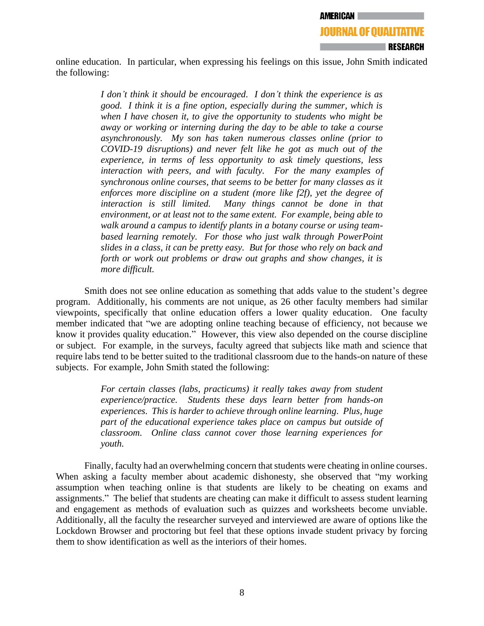online education. In particular, when expressing his feelings on this issue, John Smith indicated the following:

> *I don't think it should be encouraged. I don't think the experience is as good. I think it is a fine option, especially during the summer, which is when I have chosen it, to give the opportunity to students who might be away or working or interning during the day to be able to take a course asynchronously. My son has taken numerous classes online (prior to COVID-19 disruptions) and never felt like he got as much out of the experience, in terms of less opportunity to ask timely questions, less interaction with peers, and with faculty. For the many examples of synchronous online courses, that seems to be better for many classes as it enforces more discipline on a student (more like f2f), yet the degree of interaction is still limited. Many things cannot be done in that environment, or at least not to the same extent. For example, being able to walk around a campus to identify plants in a botany course or using teambased learning remotely. For those who just walk through PowerPoint slides in a class, it can be pretty easy. But for those who rely on back and forth or work out problems or draw out graphs and show changes, it is more difficult.*

Smith does not see online education as something that adds value to the student's degree program. Additionally, his comments are not unique, as 26 other faculty members had similar viewpoints, specifically that online education offers a lower quality education. One faculty member indicated that "we are adopting online teaching because of efficiency, not because we know it provides quality education." However, this view also depended on the course discipline or subject. For example, in the surveys, faculty agreed that subjects like math and science that require labs tend to be better suited to the traditional classroom due to the hands-on nature of these subjects. For example, John Smith stated the following:

> *For certain classes (labs, practicums) it really takes away from student experience/practice. Students these days learn better from hands-on experiences. This is harder to achieve through online learning. Plus, huge part of the educational experience takes place on campus but outside of classroom. Online class cannot cover those learning experiences for youth.*

Finally, faculty had an overwhelming concern that students were cheating in online courses. When asking a faculty member about academic dishonesty, she observed that "my working assumption when teaching online is that students are likely to be cheating on exams and assignments." The belief that students are cheating can make it difficult to assess student learning and engagement as methods of evaluation such as quizzes and worksheets become unviable. Additionally, all the faculty the researcher surveyed and interviewed are aware of options like the Lockdown Browser and proctoring but feel that these options invade student privacy by forcing them to show identification as well as the interiors of their homes.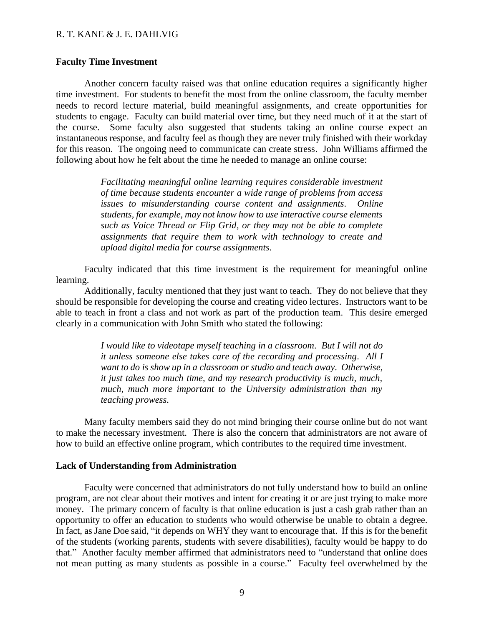## **Faculty Time Investment**

Another concern faculty raised was that online education requires a significantly higher time investment. For students to benefit the most from the online classroom, the faculty member needs to record lecture material, build meaningful assignments, and create opportunities for students to engage. Faculty can build material over time, but they need much of it at the start of the course. Some faculty also suggested that students taking an online course expect an instantaneous response, and faculty feel as though they are never truly finished with their workday for this reason. The ongoing need to communicate can create stress. John Williams affirmed the following about how he felt about the time he needed to manage an online course:

> *Facilitating meaningful online learning requires considerable investment of time because students encounter a wide range of problems from access issues to misunderstanding course content and assignments. Online students, for example, may not know how to use interactive course elements such as Voice Thread or Flip Grid, or they may not be able to complete assignments that require them to work with technology to create and upload digital media for course assignments.*

Faculty indicated that this time investment is the requirement for meaningful online learning.

Additionally, faculty mentioned that they just want to teach. They do not believe that they should be responsible for developing the course and creating video lectures. Instructors want to be able to teach in front a class and not work as part of the production team. This desire emerged clearly in a communication with John Smith who stated the following:

> *I would like to videotape myself teaching in a classroom. But I will not do it unless someone else takes care of the recording and processing. All I want to do is show up in a classroom or studio and teach away. Otherwise, it just takes too much time, and my research productivity is much, much, much, much more important to the University administration than my teaching prowess.*

Many faculty members said they do not mind bringing their course online but do not want to make the necessary investment. There is also the concern that administrators are not aware of how to build an effective online program, which contributes to the required time investment.

#### **Lack of Understanding from Administration**

Faculty were concerned that administrators do not fully understand how to build an online program, are not clear about their motives and intent for creating it or are just trying to make more money. The primary concern of faculty is that online education is just a cash grab rather than an opportunity to offer an education to students who would otherwise be unable to obtain a degree. In fact, as Jane Doe said, "it depends on WHY they want to encourage that. If this is for the benefit of the students (working parents, students with severe disabilities), faculty would be happy to do that." Another faculty member affirmed that administrators need to "understand that online does not mean putting as many students as possible in a course." Faculty feel overwhelmed by the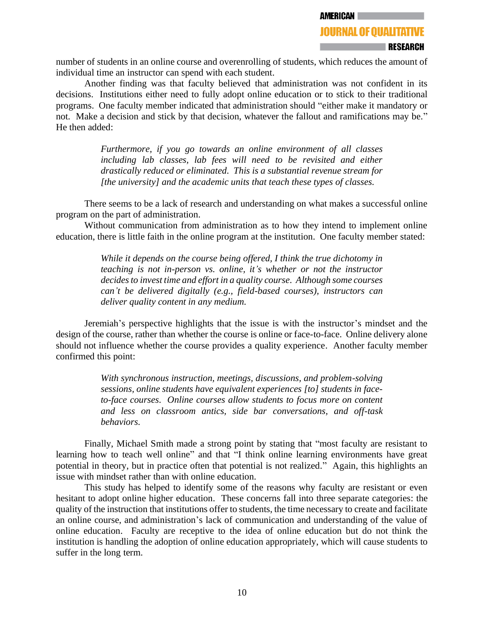number of students in an online course and overenrolling of students, which reduces the amount of individual time an instructor can spend with each student.

Another finding was that faculty believed that administration was not confident in its decisions. Institutions either need to fully adopt online education or to stick to their traditional programs. One faculty member indicated that administration should "either make it mandatory or not. Make a decision and stick by that decision, whatever the fallout and ramifications may be." He then added:

> *Furthermore, if you go towards an online environment of all classes including lab classes, lab fees will need to be revisited and either drastically reduced or eliminated. This is a substantial revenue stream for [the university] and the academic units that teach these types of classes.*

There seems to be a lack of research and understanding on what makes a successful online program on the part of administration.

Without communication from administration as to how they intend to implement online education, there is little faith in the online program at the institution. One faculty member stated:

> *While it depends on the course being offered, I think the true dichotomy in teaching is not in-person vs. online, it's whether or not the instructor decides to invest time and effort in a quality course. Although some courses can't be delivered digitally (e.g., field-based courses), instructors can deliver quality content in any medium.*

Jeremiah's perspective highlights that the issue is with the instructor's mindset and the design of the course, rather than whether the course is online or face-to-face. Online delivery alone should not influence whether the course provides a quality experience. Another faculty member confirmed this point:

> *With synchronous instruction, meetings, discussions, and problem-solving sessions, online students have equivalent experiences [to] students in faceto-face courses. Online courses allow students to focus more on content and less on classroom antics, side bar conversations, and off-task behaviors.*

Finally, Michael Smith made a strong point by stating that "most faculty are resistant to learning how to teach well online" and that "I think online learning environments have great potential in theory, but in practice often that potential is not realized." Again, this highlights an issue with mindset rather than with online education.

This study has helped to identify some of the reasons why faculty are resistant or even hesitant to adopt online higher education. These concerns fall into three separate categories: the quality of the instruction that institutions offer to students, the time necessary to create and facilitate an online course, and administration's lack of communication and understanding of the value of online education. Faculty are receptive to the idea of online education but do not think the institution is handling the adoption of online education appropriately, which will cause students to suffer in the long term.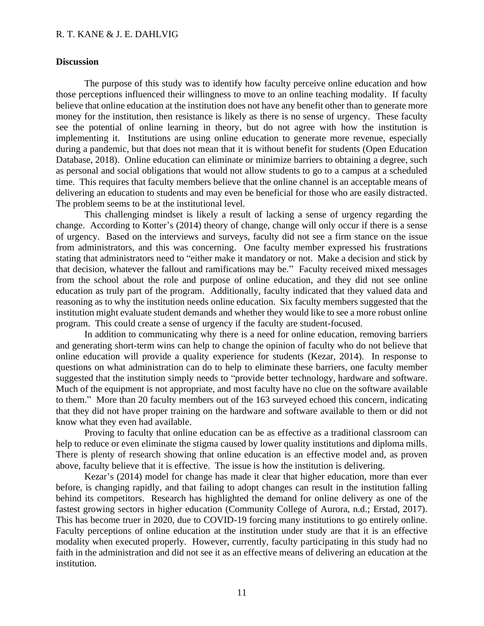## **Discussion**

The purpose of this study was to identify how faculty perceive online education and how those perceptions influenced their willingness to move to an online teaching modality. If faculty believe that online education at the institution does not have any benefit other than to generate more money for the institution, then resistance is likely as there is no sense of urgency. These faculty see the potential of online learning in theory, but do not agree with how the institution is implementing it. Institutions are using online education to generate more revenue, especially during a pandemic, but that does not mean that it is without benefit for students (Open Education Database, 2018). Online education can eliminate or minimize barriers to obtaining a degree, such as personal and social obligations that would not allow students to go to a campus at a scheduled time. This requires that faculty members believe that the online channel is an acceptable means of delivering an education to students and may even be beneficial for those who are easily distracted. The problem seems to be at the institutional level.

This challenging mindset is likely a result of lacking a sense of urgency regarding the change. According to Kotter's (2014) theory of change, change will only occur if there is a sense of urgency. Based on the interviews and surveys, faculty did not see a firm stance on the issue from administrators, and this was concerning. One faculty member expressed his frustrations stating that administrators need to "either make it mandatory or not. Make a decision and stick by that decision, whatever the fallout and ramifications may be." Faculty received mixed messages from the school about the role and purpose of online education, and they did not see online education as truly part of the program. Additionally, faculty indicated that they valued data and reasoning as to why the institution needs online education. Six faculty members suggested that the institution might evaluate student demands and whether they would like to see a more robust online program. This could create a sense of urgency if the faculty are student-focused.

In addition to communicating why there is a need for online education, removing barriers and generating short-term wins can help to change the opinion of faculty who do not believe that online education will provide a quality experience for students (Kezar, 2014). In response to questions on what administration can do to help to eliminate these barriers, one faculty member suggested that the institution simply needs to "provide better technology, hardware and software. Much of the equipment is not appropriate, and most faculty have no clue on the software available to them." More than 20 faculty members out of the 163 surveyed echoed this concern, indicating that they did not have proper training on the hardware and software available to them or did not know what they even had available.

Proving to faculty that online education can be as effective as a traditional classroom can help to reduce or even eliminate the stigma caused by lower quality institutions and diploma mills. There is plenty of research showing that online education is an effective model and, as proven above, faculty believe that it is effective. The issue is how the institution is delivering.

Kezar's (2014) model for change has made it clear that higher education, more than ever before, is changing rapidly, and that failing to adopt changes can result in the institution falling behind its competitors. Research has highlighted the demand for online delivery as one of the fastest growing sectors in higher education (Community College of Aurora, n.d.; Erstad, 2017). This has become truer in 2020, due to COVID-19 forcing many institutions to go entirely online. Faculty perceptions of online education at the institution under study are that it is an effective modality when executed properly. However, currently, faculty participating in this study had no faith in the administration and did not see it as an effective means of delivering an education at the institution.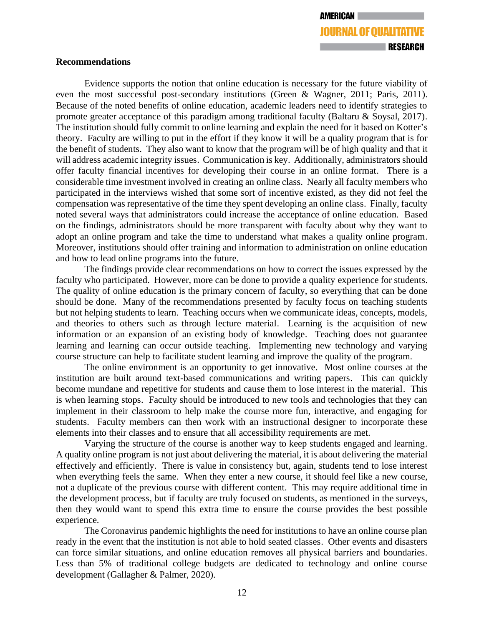## **Recommendations**

Evidence supports the notion that online education is necessary for the future viability of even the most successful post-secondary institutions (Green & Wagner, 2011; Paris, 2011). Because of the noted benefits of online education, academic leaders need to identify strategies to promote greater acceptance of this paradigm among traditional faculty (Baltaru & Soysal, 2017). The institution should fully commit to online learning and explain the need for it based on Kotter's theory. Faculty are willing to put in the effort if they know it will be a quality program that is for the benefit of students. They also want to know that the program will be of high quality and that it will address academic integrity issues. Communication is key. Additionally, administrators should offer faculty financial incentives for developing their course in an online format. There is a considerable time investment involved in creating an online class. Nearly all faculty members who participated in the interviews wished that some sort of incentive existed, as they did not feel the compensation was representative of the time they spent developing an online class. Finally, faculty noted several ways that administrators could increase the acceptance of online education. Based on the findings, administrators should be more transparent with faculty about why they want to adopt an online program and take the time to understand what makes a quality online program. Moreover, institutions should offer training and information to administration on online education and how to lead online programs into the future.

The findings provide clear recommendations on how to correct the issues expressed by the faculty who participated. However, more can be done to provide a quality experience for students. The quality of online education is the primary concern of faculty, so everything that can be done should be done. Many of the recommendations presented by faculty focus on teaching students but not helping students to learn. Teaching occurs when we communicate ideas, concepts, models, and theories to others such as through lecture material. Learning is the acquisition of new information or an expansion of an existing body of knowledge. Teaching does not guarantee learning and learning can occur outside teaching. Implementing new technology and varying course structure can help to facilitate student learning and improve the quality of the program.

The online environment is an opportunity to get innovative. Most online courses at the institution are built around text-based communications and writing papers. This can quickly become mundane and repetitive for students and cause them to lose interest in the material. This is when learning stops. Faculty should be introduced to new tools and technologies that they can implement in their classroom to help make the course more fun, interactive, and engaging for students. Faculty members can then work with an instructional designer to incorporate these elements into their classes and to ensure that all accessibility requirements are met.

Varying the structure of the course is another way to keep students engaged and learning. A quality online program is not just about delivering the material, it is about delivering the material effectively and efficiently. There is value in consistency but, again, students tend to lose interest when everything feels the same. When they enter a new course, it should feel like a new course, not a duplicate of the previous course with different content. This may require additional time in the development process, but if faculty are truly focused on students, as mentioned in the surveys, then they would want to spend this extra time to ensure the course provides the best possible experience.

The Coronavirus pandemic highlights the need for institutions to have an online course plan ready in the event that the institution is not able to hold seated classes. Other events and disasters can force similar situations, and online education removes all physical barriers and boundaries. Less than 5% of traditional college budgets are dedicated to technology and online course development (Gallagher & Palmer, 2020).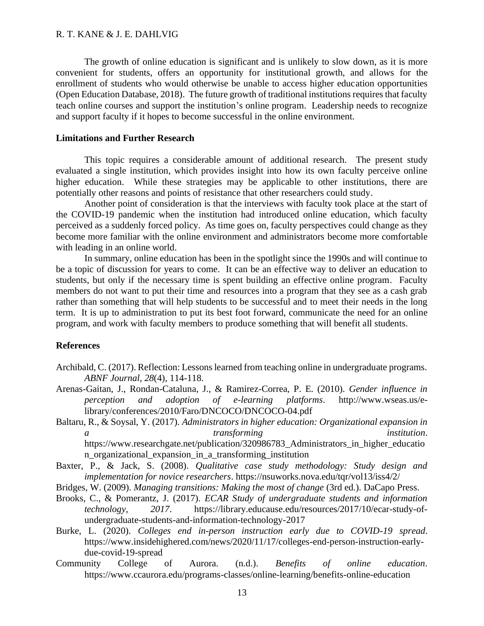The growth of online education is significant and is unlikely to slow down, as it is more convenient for students, offers an opportunity for institutional growth, and allows for the enrollment of students who would otherwise be unable to access higher education opportunities (Open Education Database, 2018). The future growth of traditional institutions requires that faculty teach online courses and support the institution's online program. Leadership needs to recognize and support faculty if it hopes to become successful in the online environment.

### **Limitations and Further Research**

This topic requires a considerable amount of additional research. The present study evaluated a single institution, which provides insight into how its own faculty perceive online higher education. While these strategies may be applicable to other institutions, there are potentially other reasons and points of resistance that other researchers could study.

Another point of consideration is that the interviews with faculty took place at the start of the COVID-19 pandemic when the institution had introduced online education, which faculty perceived as a suddenly forced policy. As time goes on, faculty perspectives could change as they become more familiar with the online environment and administrators become more comfortable with leading in an online world.

In summary, online education has been in the spotlight since the 1990s and will continue to be a topic of discussion for years to come. It can be an effective way to deliver an education to students, but only if the necessary time is spent building an effective online program. Faculty members do not want to put their time and resources into a program that they see as a cash grab rather than something that will help students to be successful and to meet their needs in the long term. It is up to administration to put its best foot forward, communicate the need for an online program, and work with faculty members to produce something that will benefit all students.

### **References**

- Archibald, C. (2017). Reflection: Lessons learned from teaching online in undergraduate programs. *ABNF Journal, 28*(4), 114-118.
- Arenas-Gaitan, J., Rondan-Cataluna, J., & Ramirez-Correa, P. E. (2010). *Gender influence in perception and adoption of e-learning platforms*. http://www.wseas.us/elibrary/conferences/2010/Faro/DNCOCO/DNCOCO-04.pdf
- Baltaru, R., & Soysal, Y. (2017). *Administrators in higher education: Organizational expansion in a transforming institution*. https://www.researchgate.net/publication/320986783\_Administrators\_in\_higher\_educatio n\_organizational\_expansion\_in\_a\_transforming\_institution
- Baxter, P., & Jack, S. (2008). *Qualitative case study methodology: Study design and implementation for novice researchers*. https://nsuworks.nova.edu/tqr/vol13/iss4/2/
- Bridges, W. (2009). *Managing transitions: Making the most of change* (3rd ed.). DaCapo Press.
- Brooks, C., & Pomerantz, J. (2017). *ECAR Study of undergraduate students and information technology, 2017*. https://library.educause.edu/resources/2017/10/ecar-study-ofundergraduate-students-and-information-technology-2017
- Burke, L. (2020). *Colleges end in-person instruction early due to COVID-19 spread*. https://www.insidehighered.com/news/2020/11/17/colleges-end-person-instruction-earlydue-covid-19-spread
- Community College of Aurora. (n.d.). *Benefits of online education*. https://www.ccaurora.edu/programs-classes/online-learning/benefits-online-education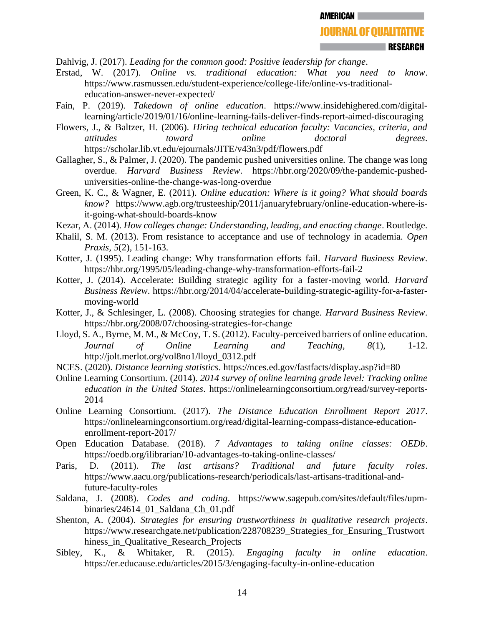**JOURNAL OF QUALITATIVE** 

**EXPRESEARCH** 

Dahlvig, J. (2017). *Leading for the common good: Positive leadership for change*.

- Erstad, W. (2017). *Online vs. traditional education: What you need to know*. https://www.rasmussen.edu/student-experience/college-life/online-vs-traditionaleducation-answer-never-expected/
- Fain, P. (2019). *Takedown of online education*. https://www.insidehighered.com/digitallearning/article/2019/01/16/online-learning-fails-deliver-finds-report-aimed-discouraging
- Flowers, J., & Baltzer, H. (2006). *Hiring technical education faculty: Vacancies, criteria, and attitudes toward online doctoral degrees*. https://scholar.lib.vt.edu/ejournals/JITE/v43n3/pdf/flowers.pdf
- Gallagher, S., & Palmer, J. (2020). The pandemic pushed universities online. The change was long overdue. *Harvard Business Review*. https://hbr.org/2020/09/the-pandemic-pusheduniversities-online-the-change-was-long-overdue
- Green, K. C., & Wagner, E. (2011). *Online education: Where is it going? What should boards know?* https://www.agb.org/trusteeship/2011/januaryfebruary/online-education-where-isit-going-what-should-boards-know
- Kezar, A. (2014). *How colleges change: Understanding, leading, and enacting change*. Routledge.
- Khalil, S. M. (2013). From resistance to acceptance and use of technology in academia. *Open Praxis, 5*(2), 151-163.
- Kotter, J. (1995). Leading change: Why transformation efforts fail. *Harvard Business Review*. https://hbr.org/1995/05/leading-change-why-transformation-efforts-fail-2
- Kotter, J. (2014). Accelerate: Building strategic agility for a faster-moving world. *Harvard Business Review*. https://hbr.org/2014/04/accelerate-building-strategic-agility-for-a-fastermoving-world
- Kotter, J., & Schlesinger, L. (2008). Choosing strategies for change. *Harvard Business Review*. https://hbr.org/2008/07/choosing-strategies-for-change
- Lloyd, S. A., Byrne, M. M., & McCoy, T. S. (2012). Faculty-perceived barriers of online education. *Journal of Online Learning and Teaching, 8*(1), 1-12. http://jolt.merlot.org/vol8no1/lloyd\_0312.pdf
- NCES. (2020). *Distance learning statistics*. https://nces.ed.gov/fastfacts/display.asp?id=80
- Online Learning Consortium. (2014). *2014 survey of online learning grade level: Tracking online education in the United States*. https://onlinelearningconsortium.org/read/survey-reports-2014
- Online Learning Consortium. (2017). *The Distance Education Enrollment Report 2017*. https://onlinelearningconsortium.org/read/digital-learning-compass-distance-educationenrollment-report-2017/
- Open Education Database. (2018). *7 Advantages to taking online classes: OEDb*. https://oedb.org/ilibrarian/10-advantages-to-taking-online-classes/
- Paris, D. (2011). *The last artisans? Traditional and future faculty roles*. https://www.aacu.org/publications-research/periodicals/last-artisans-traditional-andfuture-faculty-roles
- Saldana, J. (2008). *Codes and coding*. https://www.sagepub.com/sites/default/files/upmbinaries/24614\_01\_Saldana\_Ch\_01.pdf
- Shenton, A. (2004). *Strategies for ensuring trustworthiness in qualitative research projects*. https://www.researchgate.net/publication/228708239 Strategies for Ensuring Trustwort hiness in Qualitative Research Projects
- Sibley, K., & Whitaker, R. (2015). *Engaging faculty in online education*. https://er.educause.edu/articles/2015/3/engaging-faculty-in-online-education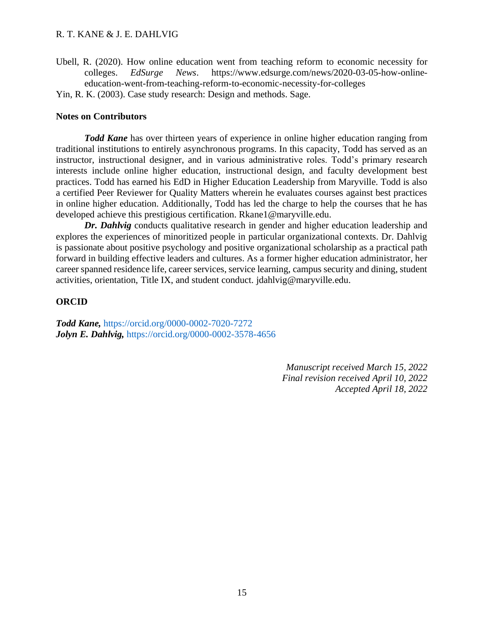Ubell, R. (2020). How online education went from teaching reform to economic necessity for colleges. *EdSurge News*. https://www.edsurge.com/news/2020-03-05-how-onlineeducation-went-from-teaching-reform-to-economic-necessity-for-colleges

Yin, R. K. (2003). Case study research: Design and methods. Sage.

## **Notes on Contributors**

*Todd Kane* has over thirteen years of experience in online higher education ranging from traditional institutions to entirely asynchronous programs. In this capacity, Todd has served as an instructor, instructional designer, and in various administrative roles. Todd's primary research interests include online higher education, instructional design, and faculty development best practices. Todd has earned his EdD in Higher Education Leadership from Maryville. Todd is also a certified Peer Reviewer for Quality Matters wherein he evaluates courses against best practices in online higher education. Additionally, Todd has led the charge to help the courses that he has developed achieve this prestigious certification. Rkane1@maryville.edu.

*Dr. Dahlvig* conducts qualitative research in gender and higher education leadership and explores the experiences of minoritized people in particular organizational contexts. Dr. Dahlvig is passionate about positive psychology and positive organizational scholarship as a practical path forward in building effective leaders and cultures. As a former higher education administrator, her career spanned residence life, career services, service learning, campus security and dining, student activities, orientation, Title IX, and student conduct. [jdahlvig@maryville.edu.](mailto:jdahlvig@maryville.edu)

## **ORCID**

*Todd Kane,* <https://orcid.org/0000-0002-7020-7272> *Jolyn E. Dahlvig,* <https://orcid.org/0000-0002-3578-4656>

> *Manuscript received March 15, 2022 Final revision received April 10, 2022 Accepted April 18, 2022*